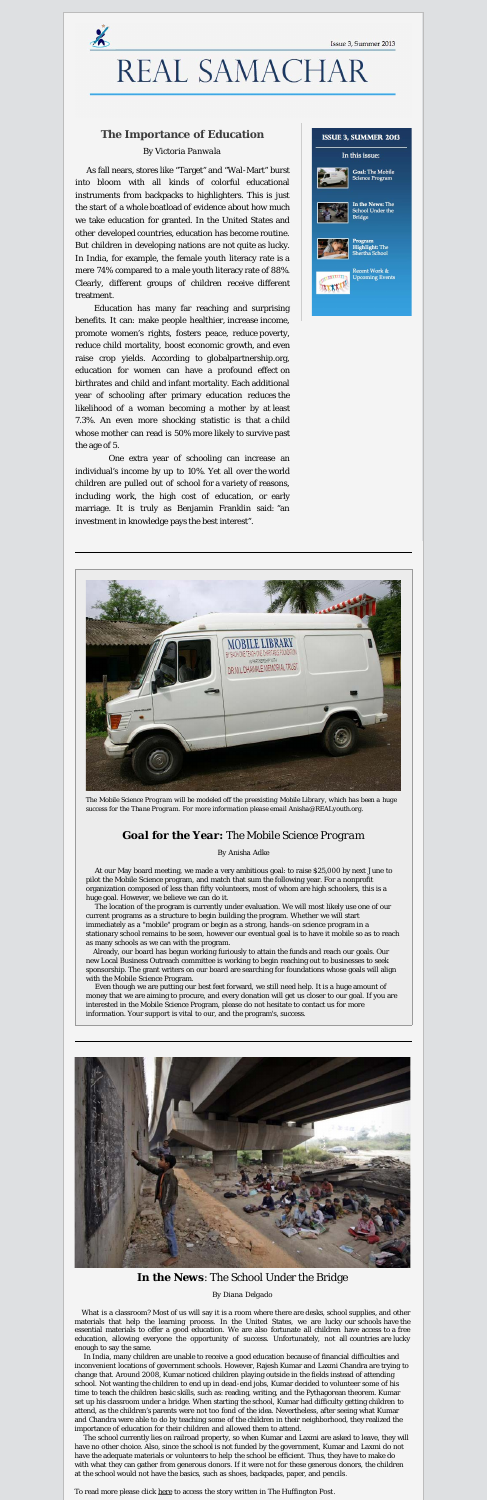

# REAL SAMACHAR

## **The Importance of Education**

## *By Victoria Panwala*

As fall nears, stores like "Target" and "Wal-Mart" burst into bloom with all kinds of colorful educational instruments from backpacks to highlighters. This is just the start of a whole boatload of evidence about how much we take education for granted. In the United States and other developed countries, education has become routine. But children in developing nations are not quite as lucky. In India, for example, the female youth literacy rate is a mere 74% compared to a male youth literacy rate of 88%. Clearly, different groups of children receive different treatment.

 Education has many far reaching and surprising benefits. It can: make people healthier, increase income, promote women's rights, fosters peace, reduce poverty, reduce child mortality, boost economic growth, and even raise crop yields. According to globalpartnership.org, education for women can have a profound effect on birthrates and child and infant mortality. Each additional year of schooling after primary education reduces the likelihood of a woman becoming a mother by at least 7.3%. An even more shocking statistic is that a child whose mother can read is 50% more likely to survive past the age of 5.

One extra year of schooling can increase an individual's income by up to 10%. Yet all over the world children are pulled out of school for a variety of reasons, including work, the high cost of education, or early marriage. It is truly as Benjamin Franklin said: "an investment in knowledge pays the best interest".





*The Mobile Science Program will be modeled off the preexisting Mobile Library, which has been a huge success for the Thane Program. For more information please email Anisha@REALyouth.org.*

## *Goal for the Year: The Mobile Science Program*

*By Anisha Adke*

At our May board meeting, we made a very ambitious goal: to raise \$25,000 by next June to pilot the Mobile Science program, and match that sum the following year. For a nonprofit organization composed of less than fifty volunteers, most of whom are high schoolers, this is a huge goal. However, we believe we can do it.

The location of the program is currently under evaluation. We will most likely use one of our current programs as a structure to begin building the program. Whether we will start immediately as a "mobile" program or begin as a strong, hands-on science program in a stationary school remains to be seen, however our eventual goal is to have it mobile so as to reach as many schools as we can with the program.

 Already, our board has begun working furiously to attain the funds and reach our goals. Our new Local Business Outreach committee is working to begin reaching out to businesses to seek sponsorship. The grant writers on our board are searching for foundations whose goals will align with the Mobile Science Program.

Even though we are putting our best feet forward, we still need help. It is a huge amount of money that we are aiming to procure, and every donation will get us closer to our goal. If you are interested in the Mobile Science Program, please do not hesitate to contact us for more information. Your support is vital to our, and the program's, success.



## **In the News**: The School Under the Bridge

*By Diana Delgado*

 What is a classroom? Most of us will say it is a room where there are desks, school supplies, and other materials that help the learning process. In the United States, we are lucky our schools have the essential materials to offer a good education. We are also fortunate all children have access to a free education, allowing everyone the opportunity of success. Unfortunately, not all countries are lucky enough to say the same.

In India, many children are unable to receive a good education because of financial difficulties and inconvenient locations of government schools. However, Rajesh Kumar and Laxmi Chandra are trying to change that. Around 2008, Kumar noticed children playing outside in the fields instead of attending school. Not wanting the children to end up in dead-end jobs, Kumar decided to volunteer some of his time to teach the children basic skills, such as: reading, writing, and the Pythagorean theorem. Kumar set up his classroom under a bridge. When starting the school, Kumar had difficulty getting children to attend, as the children's parents were not too fond of the idea. Nevertheless, after seeing what Kumar and Chandra were able to do by teaching some of the children in their neighborhood, they realized the importance of education for their children and allowed them to attend. The school currently lies on railroad property, so when Kumar and Laxmi are asked to leave, they will have no other choice. Also, since the school is not funded by the government, Kumar and Laxmi do not have the adequate materials or volunteers to help the school be efficient. Thus, they have to make do with what they can gather from generous donors. If it were not for these generous donors, the children at the school would not have the basics, such as shoes, backpacks, paper, and pencils. To read more please click [here](http://www.huffingtonpost.com/2012/12/04/school-under-bridge-in-ne_n_2233019.html) to access the story written in *The Huffington Post*.